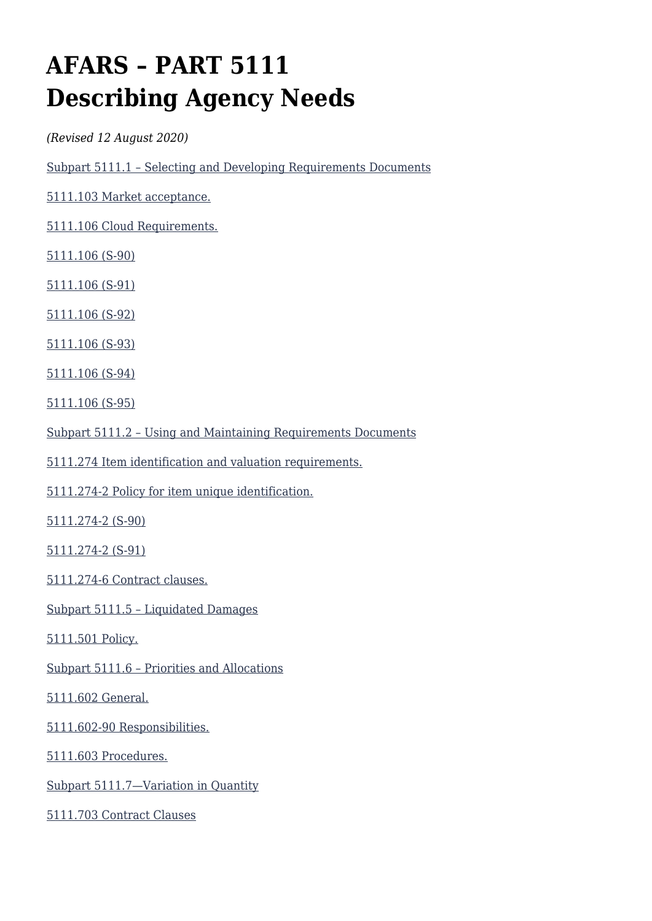# **AFARS – PART 5111 Describing Agency Needs**

*(Revised 12 August 2020)*

[Subpart 5111.1 – Selecting and Developing Requirements Documents](#page--1-0)

[5111.103 Market acceptance.](#page--1-0)

[5111.106 Cloud Requirements.](#page--1-0)

[5111.106 \(S-90\)](#page--1-0)

[5111.106 \(S-91\)](#page--1-0)

[5111.106 \(S-92\)](#page--1-0)

[5111.106 \(S-93\)](#page--1-0)

[5111.106 \(S-94\)](#page--1-0)

[5111.106 \(S-95\)](#page--1-0)

[Subpart 5111.2 – Using and Maintaining Requirements Documents](#page--1-0)

[5111.274 Item identification and valuation requirements.](#page--1-0)

[5111.274-2 Policy for item unique identification.](#page--1-0)

[5111.274-2 \(S-90\)](#page--1-0)

[5111.274-2 \(S-91\)](#page--1-0)

[5111.274-6 Contract clauses.](#page--1-0)

[Subpart 5111.5 – Liquidated Damages](#page--1-0)

[5111.501 Policy.](#page--1-0)

[Subpart 5111.6 – Priorities and Allocations](#page--1-0)

[5111.602 General.](#page--1-0)

[5111.602-90 Responsibilities.](#page--1-0)

[5111.603 Procedures.](#page--1-0)

[Subpart 5111.7—Variation in Quantity](#page--1-0)

[5111.703 Contract Clauses](#page--1-0)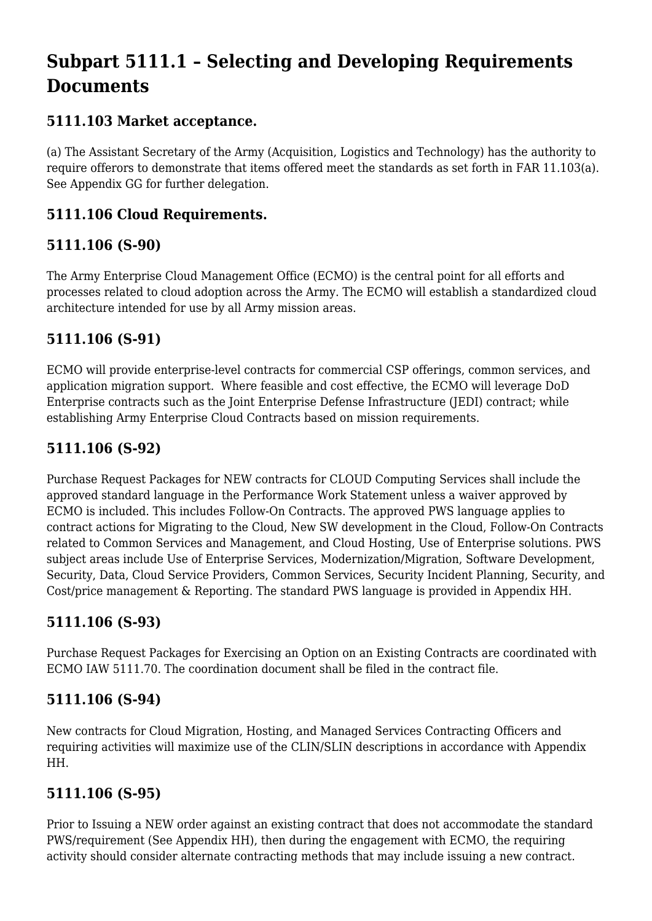# **Subpart 5111.1 – Selecting and Developing Requirements Documents**

# **5111.103 Market acceptance.**

(a) The Assistant Secretary of the Army (Acquisition, Logistics and Technology) has the authority to require offerors to demonstrate that items offered meet the standards as set forth in FAR 11.103(a). See Appendix GG for further delegation.

# **5111.106 Cloud Requirements.**

# **5111.106 (S-90)**

The Army Enterprise Cloud Management Office (ECMO) is the central point for all efforts and processes related to cloud adoption across the Army. The ECMO will establish a standardized cloud architecture intended for use by all Army mission areas.

## **5111.106 (S-91)**

ECMO will provide enterprise-level contracts for commercial CSP offerings, common services, and application migration support. Where feasible and cost effective, the ECMO will leverage DoD Enterprise contracts such as the Joint Enterprise Defense Infrastructure (JEDI) contract; while establishing Army Enterprise Cloud Contracts based on mission requirements.

# **5111.106 (S-92)**

Purchase Request Packages for NEW contracts for CLOUD Computing Services shall include the approved standard language in the Performance Work Statement unless a waiver approved by ECMO is included. This includes Follow-On Contracts. The approved PWS language applies to contract actions for Migrating to the Cloud, New SW development in the Cloud, Follow-On Contracts related to Common Services and Management, and Cloud Hosting, Use of Enterprise solutions. PWS subject areas include Use of Enterprise Services, Modernization/Migration, Software Development, Security, Data, Cloud Service Providers, Common Services, Security Incident Planning, Security, and Cost/price management & Reporting. The standard PWS language is provided in Appendix HH.

## **5111.106 (S-93)**

Purchase Request Packages for Exercising an Option on an Existing Contracts are coordinated with ECMO IAW 5111.70. The coordination document shall be filed in the contract file.

## **5111.106 (S-94)**

New contracts for Cloud Migration, Hosting, and Managed Services Contracting Officers and requiring activities will maximize use of the CLIN/SLIN descriptions in accordance with Appendix HH.

## **5111.106 (S-95)**

Prior to Issuing a NEW order against an existing contract that does not accommodate the standard PWS/requirement (See Appendix HH), then during the engagement with ECMO, the requiring activity should consider alternate contracting methods that may include issuing a new contract.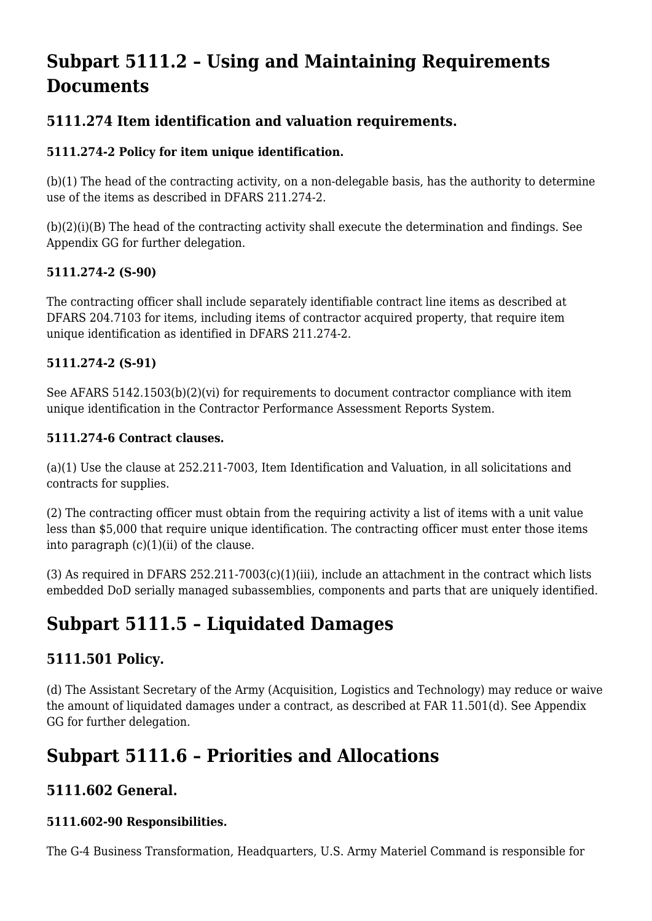# **Subpart 5111.2 – Using and Maintaining Requirements Documents**

# **5111.274 Item identification and valuation requirements.**

### **5111.274-2 Policy for item unique identification.**

(b)(1) The head of the contracting activity, on a non-delegable basis, has the authority to determine use of the items as described in DFARS 211.274-2.

 $(b)(2)(i)(B)$  The head of the contracting activity shall execute the determination and findings. See Appendix GG for further delegation.

#### **5111.274-2 (S-90)**

The contracting officer shall include separately identifiable contract line items as described at DFARS 204.7103 for items, including items of contractor acquired property, that require item unique identification as identified in DFARS 211.274-2.

#### **5111.274-2 (S-91)**

See AFARS 5142.1503(b)(2)(vi) for requirements to document contractor compliance with item unique identification in the Contractor Performance Assessment Reports System.

#### **5111.274-6 Contract clauses.**

(a)(1) Use the clause at 252.211-7003, Item Identification and Valuation, in all solicitations and contracts for supplies.

(2) The contracting officer must obtain from the requiring activity a list of items with a unit value less than \$5,000 that require unique identification. The contracting officer must enter those items into paragraph  $(c)(1)(ii)$  of the clause.

(3) As required in DFARS  $252.211-7003(c)(1)(iii)$ , include an attachment in the contract which lists embedded DoD serially managed subassemblies, components and parts that are uniquely identified.

# **Subpart 5111.5 – Liquidated Damages**

# **5111.501 Policy.**

(d) The Assistant Secretary of the Army (Acquisition, Logistics and Technology) may reduce or waive the amount of liquidated damages under a contract, as described at FAR 11.501(d). See Appendix GG for further delegation.

# **Subpart 5111.6 – Priorities and Allocations**

## **5111.602 General.**

#### **5111.602-90 Responsibilities.**

The G-4 Business Transformation, Headquarters, U.S. Army Materiel Command is responsible for